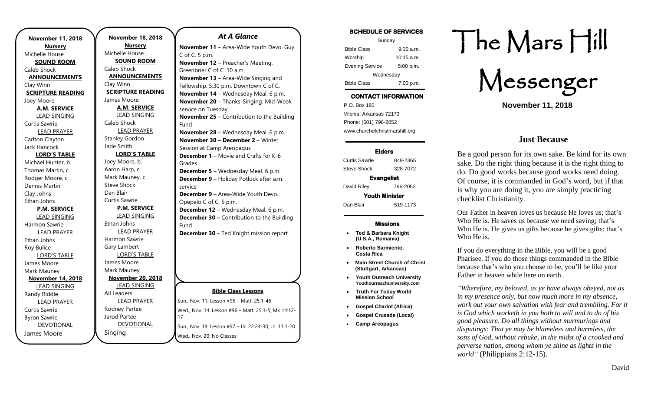| <b>November 11, 2018</b>           |
|------------------------------------|
| <b>Nursery</b>                     |
| Michelle House                     |
| <b>SOUND ROOM</b>                  |
| Caleb Shock                        |
| <b>ANNOUNCEMENTS</b>               |
| Clay Winn                          |
| <b>SCRIPTURE READING</b>           |
| Joey Moore                         |
| <b>A.M. SERVICE</b>                |
| <b>LEAD SINGING</b>                |
| <b>Curtis Sawrie</b>               |
| <b>LEAD PRAYER</b>                 |
| Carlton Clayton                    |
| Jack Hancock                       |
| <b>LORD'S TABLE</b>                |
| Michael Hunter, b.                 |
| Thomas Martin, c.                  |
| Rodger Moore, c.                   |
| Dennis Martin                      |
| Clay Johns                         |
| Ethan Johns                        |
| <b>P.M. SERVICE</b>                |
| <b>LEAD SINGING</b>                |
| Harmon Sawrie                      |
| <b>LEAD PRAYER</b>                 |
| Ethan Johns                        |
| Roy Bulice                         |
| <b>LORD'S TABLE</b><br>James Moore |
| Mark Mauney                        |
| <b>November 14, 2018</b>           |
| <b>LEAD SINGING</b>                |
| Randy Riddle                       |
| <b>LEAD PRAYER</b>                 |
| Curtis Sawrie                      |
| <b>Byron Sawrie</b>                |
| <b>DEVOTIONAL</b>                  |
| James Moore                        |
|                                    |

**November 18, 2018 Nursery** Michelle House **SOUND ROOM** Caleb Shock **ANNOUNCEMENTS** Clay Winn **SCRIPTURE READING** James Moore **A.M. SERVICE** LEAD SINGING Caleb Shock LEAD PRAYER Stanley Gordon Jade Smith **LORD'S TABLE** Joey Moore, b. Aaron Harp, c. Mark Mauney, c. Steve Shock Dan Blair Curtis Sawrie **P.M. SERVICE** LEAD SINGING Ethan Johns LEAD PRAYER Harmon Sawrie Gary Lambert LORD'S TABLE James Moore Mark Mauney **November 20, 2018** LEAD SINGING All Leaders LEAD PRAYER Rodney Partee Jarod Partee DEVOTIONAL 17

Singing

### *At A Glance*

**Bible Class Lessons** Sun., Nov. 11: Lesson #95 – Matt. 25:1-46 Wed., Nov. 14: Lesson #96 – Matt. 25:1-5; Mk 14:12- Sun., Nov. 18: Lesson #97 – Lk. 22:24-30; Jn. 13:1-20 Wed., Nov. 20: No Classes **November 11** – Area-Wide Youth Devo. Guy C of C. 5 p.m. **November 12** – Preacher's Meeting. Greenbrier C of C. 10 a.m. **November 13** – Area-Wide Singing and Fellowship. 5:30 p.m. Downtown C of C. **November 14** – Wednesday Meal. 6 p.m. **November 20** – Thanks-Singing. Mid-Week service on Tuesday. **November 25** – Contribution to the Building Fund **November 28** – Wednesday Meal. 6 p.m. **November 30 – December 2** – Winter Session at Camp Areopagus **December 1** – Movie and Crafts for K-6 Grades **December 5** – Wednesday Meal. 6 p.m. **December 9** – Holiday Potluck after a.m. service **December 9** – Area-Wide Youth Devo. Opepelo C of C. 5 p.m. **December 12** – Wednesday Meal. 6 p.m. **December 30 –** Contribution to the Building Fund **December 30** – Ted Knight mission report

# **SCHEDULE OF SERVICES**

| Sunday                 |              |  |
|------------------------|--------------|--|
| <b>Bible Class</b>     | $9:30$ a.m.  |  |
| Worship                | $10:15$ a.m. |  |
| <b>Evening Service</b> | 5:00 p.m.    |  |
| Wednesday              |              |  |
| <b>Bible Class</b>     | 7:00 p.m.    |  |

# **CONTACT INFORMATION**

. .o. Box 166<br>Vilonia, Arkansas 72173 P.O. Box 185 Phone: (501) 796-2052 www.churchofchristmarshill.org

#### **Elders**

Curtis Sawrie 849-2365 Steve Shock 328-7072 **Evangelist**  David Riley 796-2052 **Youth Minister**  Dan Blair 519-1173

### **Missions**

- **Ted & Barbara Knight (U.S.A., Romania)**
- **Roberto Sarmiento, Costa Rica**
- **Main Street Church of Christ (Stuttgart, Arkansas)**
- **Youth Outreach University Youthourreachuniversity.com**
- **Truth For Today World Mission School**
- **Gospel Chariot (Africa)**
- **Gospel Crusade (Local)**
- **Camp Areopagus**

# The Mars Hill

Messenger

**November 11, 2018**

## **Just Because**

Be a good person for its own sake. Be kind for its own sake. Do the right thing because it is the right thing to do. Do good works because good works need doing. Of course, it is commanded in God's word, but if that is why you are doing it, you are simply practicing checklist Christianity.

Our Father in heaven loves us because He loves us; that's Who He is. He saves us because we need saving; that's Who He is. He gives us gifts because he gives gifts; that's Who He is.

If you do everything in the Bible, you will be a good Pharisee. If you do those things commanded in the Bible because that's who you choose to be, you'll be like your Father in heaven while here on earth.

*"Wherefore, my beloved, as ye have always obeyed, not as in my presence only, but now much more in my absence, work out your own salvation with fear and trembling. For it is God which worketh in you both to will and to do of his good pleasure. Do all things without murmurings and disputings: That ye may be blameless and harmless, the sons of God, without rebuke, in the midst of a crooked and perverse nation, among whom ye shine as lights in the world"* (Philippians 2:12-15).